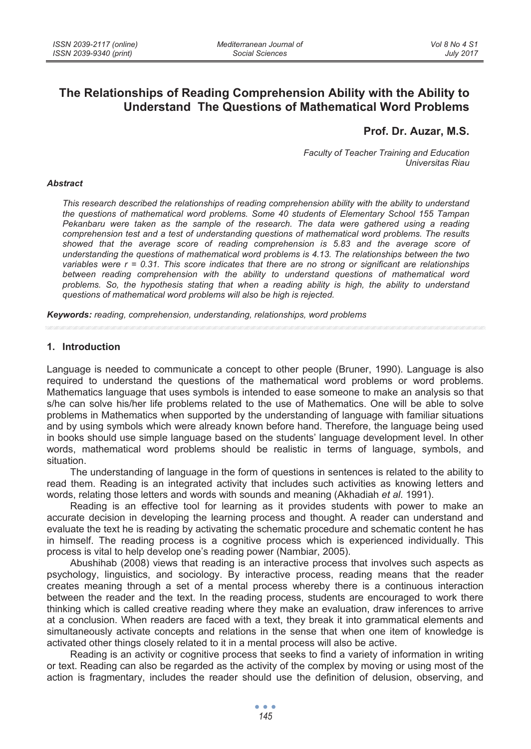# **The Relationships of Reading Comprehension Ability with the Ability to Understand The Questions of Mathematical Word Problems**

## **Prof. Dr. Auzar, M.S.**

*Faculty of Teacher Training and Education Universitas Riau* 

#### *Abstract*

*This research described the relationships of reading comprehension ability with the ability to understand the questions of mathematical word problems. Some 40 students of Elementary School 155 Tampan Pekanbaru were taken as the sample of the research. The data were gathered using a reading comprehension test and a test of understanding questions of mathematical word problems. The results showed that the average score of reading comprehension is 5.83 and the average score of understanding the questions of mathematical word problems is 4.13. The relationships between the two variables were r = 0.31. This score indicates that there are no strong or significant are relationships*  between reading comprehension with the ability to understand questions of mathematical word *problems. So, the hypothesis stating that when a reading ability is high, the ability to understand questions of mathematical word problems will also be high is rejected.* 

*Keywords: reading, comprehension, understanding, relationships, word problems* 

## **1. Introduction**

Language is needed to communicate a concept to other people (Bruner, 1990). Language is also required to understand the questions of the mathematical word problems or word problems. Mathematics language that uses symbols is intended to ease someone to make an analysis so that s/he can solve his/her life problems related to the use of Mathematics. One will be able to solve problems in Mathematics when supported by the understanding of language with familiar situations and by using symbols which were already known before hand. Therefore, the language being used in books should use simple language based on the students' language development level. In other words, mathematical word problems should be realistic in terms of language, symbols, and situation.

The understanding of language in the form of questions in sentences is related to the ability to read them. Reading is an integrated activity that includes such activities as knowing letters and words, relating those letters and words with sounds and meaning (Akhadiah *et al*. 1991).

Reading is an effective tool for learning as it provides students with power to make an accurate decision in developing the learning process and thought. A reader can understand and evaluate the text he is reading by activating the schematic procedure and schematic content he has in himself. The reading process is a cognitive process which is experienced individually. This process is vital to help develop one's reading power (Nambiar, 2005).

Abushihab (2008) views that reading is an interactive process that involves such aspects as psychology, linguistics, and sociology. By interactive process, reading means that the reader creates meaning through a set of a mental process whereby there is a continuous interaction between the reader and the text. In the reading process, students are encouraged to work there thinking which is called creative reading where they make an evaluation, draw inferences to arrive at a conclusion. When readers are faced with a text, they break it into grammatical elements and simultaneously activate concepts and relations in the sense that when one item of knowledge is activated other things closely related to it in a mental process will also be active.

Reading is an activity or cognitive process that seeks to find a variety of information in writing or text. Reading can also be regarded as the activity of the complex by moving or using most of the action is fragmentary, includes the reader should use the definition of delusion, observing, and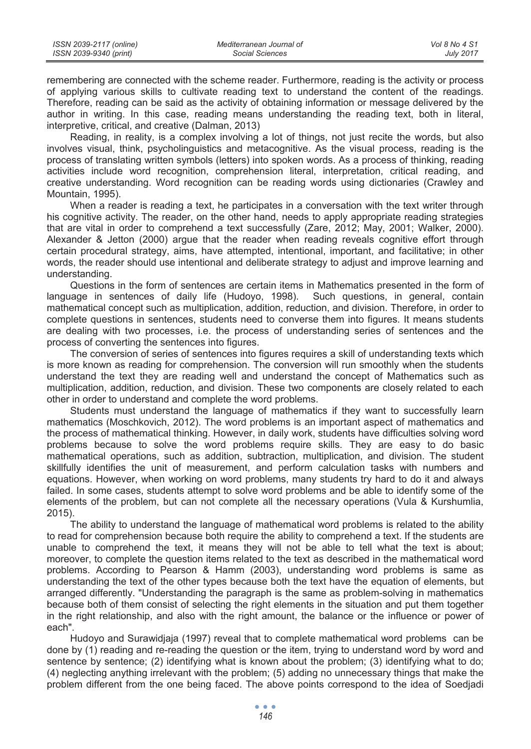| ISSN 2039-2117 (online) | Mediterranean Journal of | Vol 8 No 4 S1    |
|-------------------------|--------------------------|------------------|
| ISSN 2039-9340 (print)  | Social Sciences          | <b>July 2017</b> |

remembering are connected with the scheme reader. Furthermore, reading is the activity or process of applying various skills to cultivate reading text to understand the content of the readings. Therefore, reading can be said as the activity of obtaining information or message delivered by the author in writing. In this case, reading means understanding the reading text, both in literal, interpretive, critical, and creative (Dalman, 2013)

Reading, in reality, is a complex involving a lot of things, not just recite the words, but also involves visual, think, psycholinguistics and metacognitive. As the visual process, reading is the process of translating written symbols (letters) into spoken words. As a process of thinking, reading activities include word recognition, comprehension literal, interpretation, critical reading, and creative understanding. Word recognition can be reading words using dictionaries (Crawley and Mountain, 1995).

When a reader is reading a text, he participates in a conversation with the text writer through his cognitive activity. The reader, on the other hand, needs to apply appropriate reading strategies that are vital in order to comprehend a text successfully (Zare, 2012; May, 2001; Walker, 2000). Alexander & Jetton (2000) argue that the reader when reading reveals cognitive effort through certain procedural strategy, aims, have attempted, intentional, important, and facilitative; in other words, the reader should use intentional and deliberate strategy to adjust and improve learning and understanding.

Questions in the form of sentences are certain items in Mathematics presented in the form of language in sentences of daily life (Hudoyo, 1998). Such questions, in general, contain mathematical concept such as multiplication, addition, reduction, and division. Therefore, in order to complete questions in sentences, students need to converse them into figures. It means students are dealing with two processes, i.e. the process of understanding series of sentences and the process of converting the sentences into figures.

The conversion of series of sentences into figures requires a skill of understanding texts which is more known as reading for comprehension. The conversion will run smoothly when the students understand the text they are reading well and understand the concept of Mathematics such as multiplication, addition, reduction, and division. These two components are closely related to each other in order to understand and complete the word problems.

Students must understand the language of mathematics if they want to successfully learn mathematics (Moschkovich, 2012). The word problems is an important aspect of mathematics and the process of mathematical thinking. However, in daily work, students have difficulties solving word problems because to solve the word problems require skills. They are easy to do basic mathematical operations, such as addition, subtraction, multiplication, and division. The student skillfully identifies the unit of measurement, and perform calculation tasks with numbers and equations. However, when working on word problems, many students try hard to do it and always failed. In some cases, students attempt to solve word problems and be able to identify some of the elements of the problem, but can not complete all the necessary operations (Vula & Kurshumlia, 2015).

The ability to understand the language of mathematical word problems is related to the ability to read for comprehension because both require the ability to comprehend a text. If the students are unable to comprehend the text, it means they will not be able to tell what the text is about; moreover, to complete the question items related to the text as described in the mathematical word problems. According to Pearson & Hamm (2003), understanding word problems is same as understanding the text of the other types because both the text have the equation of elements, but arranged differently. "Understanding the paragraph is the same as problem-solving in mathematics because both of them consist of selecting the right elements in the situation and put them together in the right relationship, and also with the right amount, the balance or the influence or power of each".

Hudoyo and Surawidjaja (1997) reveal that to complete mathematical word problems can be done by (1) reading and re-reading the question or the item, trying to understand word by word and sentence by sentence; (2) identifying what is known about the problem; (3) identifying what to do; (4) neglecting anything irrelevant with the problem; (5) adding no unnecessary things that make the problem different from the one being faced. The above points correspond to the idea of Soedjadi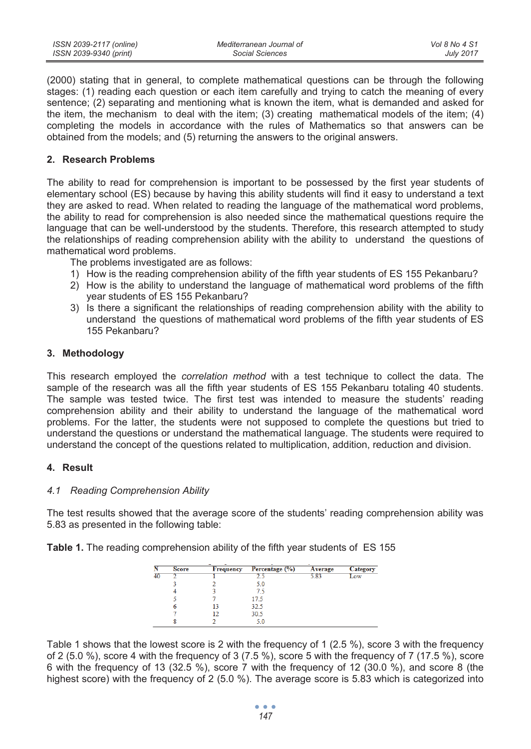(2000) stating that in general, to complete mathematical questions can be through the following stages: (1) reading each question or each item carefully and trying to catch the meaning of every sentence; (2) separating and mentioning what is known the item, what is demanded and asked for the item, the mechanism to deal with the item; (3) creating mathematical models of the item; (4) completing the models in accordance with the rules of Mathematics so that answers can be obtained from the models; and (5) returning the answers to the original answers.

## **2. Research Problems**

The ability to read for comprehension is important to be possessed by the first year students of elementary school (ES) because by having this ability students will find it easy to understand a text they are asked to read. When related to reading the language of the mathematical word problems, the ability to read for comprehension is also needed since the mathematical questions require the language that can be well-understood by the students. Therefore, this research attempted to study the relationships of reading comprehension ability with the ability to understand the questions of mathematical word problems.

The problems investigated are as follows:

- 1) How is the reading comprehension ability of the fifth year students of ES 155 Pekanbaru?
- 2) How is the ability to understand the language of mathematical word problems of the fifth year students of ES 155 Pekanbaru?
- 3) Is there a significant the relationships of reading comprehension ability with the ability to understand the questions of mathematical word problems of the fifth year students of ES 155 Pekanbaru?

### **3. Methodology**

This research employed the *correlation method* with a test technique to collect the data. The sample of the research was all the fifth year students of ES 155 Pekanbaru totaling 40 students. The sample was tested twice. The first test was intended to measure the students' reading comprehension ability and their ability to understand the language of the mathematical word problems. For the latter, the students were not supposed to complete the questions but tried to understand the questions or understand the mathematical language. The students were required to understand the concept of the questions related to multiplication, addition, reduction and division.

## **4. Result**

#### *4.1 Reading Comprehension Ability*

The test results showed that the average score of the students' reading comprehension ability was 5.83 as presented in the following table:

|  |  |  | Table 1. The reading comprehension ability of the fifth year students of ES 155 |  |  |  |  |  |
|--|--|--|---------------------------------------------------------------------------------|--|--|--|--|--|
|--|--|--|---------------------------------------------------------------------------------|--|--|--|--|--|

| Ñ  | <b>Score</b> | Frequency | Percentage (%) | Average | Category |
|----|--------------|-----------|----------------|---------|----------|
| 40 |              |           |                | 5.83    | LOW      |
|    |              |           | 5.0            |         |          |
|    |              |           | 7.5            |         |          |
|    |              |           | 17.5           |         |          |
|    | 6            | 13        | 32.5           |         |          |
|    |              | 12        | 30.5           |         |          |
|    |              |           | 5.0            |         |          |

Table 1 shows that the lowest score is 2 with the frequency of 1 (2.5 %), score 3 with the frequency of 2 (5.0 %), score 4 with the frequency of 3 (7.5 %), score 5 with the frequency of 7 (17.5 %), score 6 with the frequency of 13 (32.5 %), score 7 with the frequency of 12 (30.0 %), and score 8 (the highest score) with the frequency of 2 (5.0 %). The average score is 5.83 which is categorized into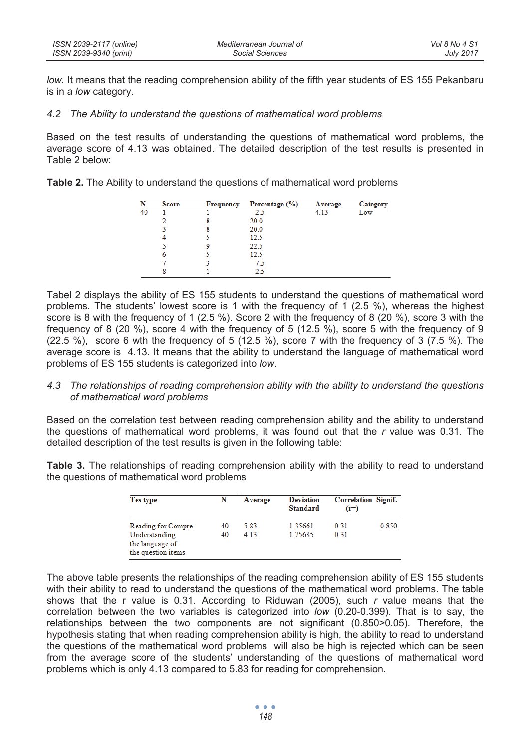*low.* It means that the reading comprehension ability of the fifth year students of ES 155 Pekanbaru is in *a low* category.

## *4.2 The Ability to understand the questions of mathematical word problems*

Based on the test results of understanding the questions of mathematical word problems, the average score of 4.13 was obtained. The detailed description of the test results is presented in Table 2 below:

**Table 2.** The Ability to understand the questions of mathematical word problems

|    | <b>Score</b> | <b>Frequency</b> | Percentage (%) | Average | Category |
|----|--------------|------------------|----------------|---------|----------|
| 40 |              |                  |                |         | Low      |
|    |              |                  | 20.0           |         |          |
|    |              |                  | 20.0           |         |          |
|    |              |                  | 12.5           |         |          |
|    |              |                  | 22.5           |         |          |
|    | 6            |                  | 12.5           |         |          |
|    |              |                  | 7.5            |         |          |
|    | 8            |                  | 2.5            |         |          |

Tabel 2 displays the ability of ES 155 students to understand the questions of mathematical word problems. The students' lowest score is 1 with the frequency of 1 (2.5 %), whereas the highest score is 8 with the frequency of 1 (2.5 %). Score 2 with the frequency of 8 (20 %), score 3 with the frequency of 8 (20 %), score 4 with the frequency of 5 (12.5 %), score 5 with the frequency of 9  $(22.5 \%)$ , score 6 wth the frequency of 5  $(12.5 \%)$ , score 7 with the frequency of 3  $(7.5 \%)$ . The average score is 4.13. It means that the ability to understand the language of mathematical word problems of ES 155 students is categorized into *low*.

### *4.3 The relationships of reading comprehension ability with the ability to understand the questions of mathematical word problems*

Based on the correlation test between reading comprehension ability and the ability to understand the questions of mathematical word problems, it was found out that the *r* value was 0.31. The detailed description of the test results is given in the following table:

**Table 3.** The relationships of reading comprehension ability with the ability to read to understand the questions of mathematical word problems

| Tes type                                                | N        | Average      | <b>Deviation</b><br><b>Standard</b> | <b>Correlation Signif.</b><br>$(r=)$ |       |
|---------------------------------------------------------|----------|--------------|-------------------------------------|--------------------------------------|-------|
| Reading for Compre.<br>Understanding<br>the language of | 40<br>40 | 5.83<br>4.13 | 1 35661<br>1.75685                  | 0.31<br>0.31                         | 0.850 |
| the question items                                      |          |              |                                     |                                      |       |

The above table presents the relationships of the reading comprehension ability of ES 155 students with their ability to read to understand the questions of the mathematical word problems. The table shows that the r value is 0.31. According to Riduwan (2005), such *r* value means that the correlation between the two variables is categorized into *low* (0.20-0.399). That is to say, the relationships between the two components are not significant (0.850>0.05). Therefore, the hypothesis stating that when reading comprehension ability is high, the ability to read to understand the questions of the mathematical word problems will also be high is rejected which can be seen from the average score of the students' understanding of the questions of mathematical word problems which is only 4.13 compared to 5.83 for reading for comprehension.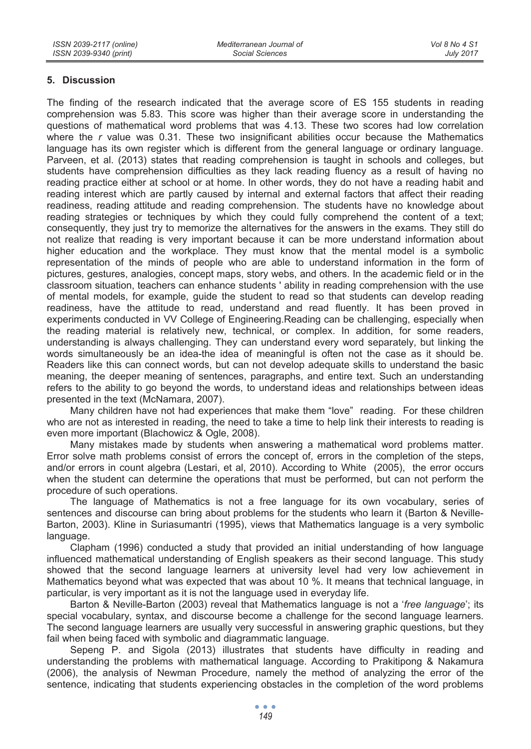## **5. Discussion**

The finding of the research indicated that the average score of ES 155 students in reading comprehension was 5.83. This score was higher than their average score in understanding the questions of mathematical word problems that was 4.13. These two scores had low correlation where the *r* value was 0.31. These two insignificant abilities occur because the Mathematics language has its own register which is different from the general language or ordinary language. Parveen, et al. (2013) states that reading comprehension is taught in schools and colleges, but students have comprehension difficulties as they lack reading fluency as a result of having no reading practice either at school or at home. In other words, they do not have a reading habit and reading interest which are partly caused by internal and external factors that affect their reading readiness, reading attitude and reading comprehension. The students have no knowledge about reading strategies or techniques by which they could fully comprehend the content of a text; consequently, they just try to memorize the alternatives for the answers in the exams. They still do not realize that reading is very important because it can be more understand information about higher education and the workplace. They must know that the mental model is a symbolic representation of the minds of people who are able to understand information in the form of pictures, gestures, analogies, concept maps, story webs, and others. In the academic field or in the classroom situation, teachers can enhance students ' ability in reading comprehension with the use of mental models, for example, guide the student to read so that students can develop reading readiness, have the attitude to read, understand and read fluently. It has been proved in experiments conducted in VV College of Engineering.Reading can be challenging, especially when the reading material is relatively new, technical, or complex. In addition, for some readers, understanding is always challenging. They can understand every word separately, but linking the words simultaneously be an idea-the idea of meaningful is often not the case as it should be. Readers like this can connect words, but can not develop adequate skills to understand the basic meaning, the deeper meaning of sentences, paragraphs, and entire text. Such an understanding refers to the ability to go beyond the words, to understand ideas and relationships between ideas presented in the text (McNamara, 2007).

Many children have not had experiences that make them "love" reading. For these children who are not as interested in reading, the need to take a time to help link their interests to reading is even more important (Blachowicz & Ogle, 2008).

Many mistakes made by students when answering a mathematical word problems matter. Error solve math problems consist of errors the concept of, errors in the completion of the steps, and/or errors in count algebra (Lestari, et al, 2010). According to White (2005), the error occurs when the student can determine the operations that must be performed, but can not perform the procedure of such operations.

The language of Mathematics is not a free language for its own vocabulary, series of sentences and discourse can bring about problems for the students who learn it (Barton & Neville-Barton, 2003). Kline in Suriasumantri (1995), views that Mathematics language is a very symbolic language.

Clapham (1996) conducted a study that provided an initial understanding of how language influenced mathematical understanding of English speakers as their second language. This study showed that the second language learners at university level had very low achievement in Mathematics beyond what was expected that was about 10 %. It means that technical language, in particular, is very important as it is not the language used in everyday life.

Barton & Neville-Barton (2003) reveal that Mathematics language is not a '*free language*'; its special vocabulary, syntax, and discourse become a challenge for the second language learners. The second language learners are usually very successful in answering graphic questions, but they fail when being faced with symbolic and diagrammatic language.

Sepeng P. and Sigola (2013) illustrates that students have difficulty in reading and understanding the problems with mathematical language. According to Prakitipong & Nakamura (2006), the analysis of Newman Procedure, namely the method of analyzing the error of the sentence, indicating that students experiencing obstacles in the completion of the word problems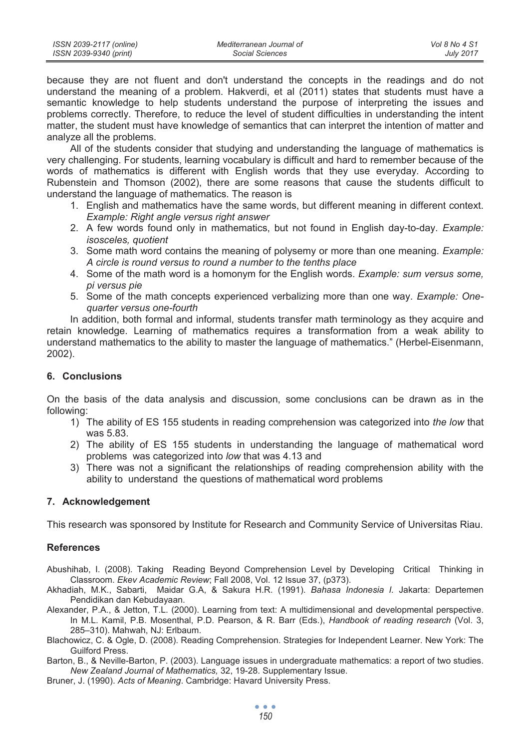because they are not fluent and don't understand the concepts in the readings and do not understand the meaning of a problem. Hakverdi, et al (2011) states that students must have a semantic knowledge to help students understand the purpose of interpreting the issues and problems correctly. Therefore, to reduce the level of student difficulties in understanding the intent matter, the student must have knowledge of semantics that can interpret the intention of matter and analyze all the problems.

All of the students consider that studying and understanding the language of mathematics is very challenging. For students, learning vocabulary is difficult and hard to remember because of the words of mathematics is different with English words that they use everyday. According to Rubenstein and Thomson (2002), there are some reasons that cause the students difficult to understand the language of mathematics. The reason is

- 1. English and mathematics have the same words, but different meaning in different context. *Example: Right angle versus right answer*
- 2. A few words found only in mathematics, but not found in English day-to-day. *Example: isosceles, quotient*
- 3. Some math word contains the meaning of polysemy or more than one meaning. *Example: A circle is round versus to round a number to the tenths place*
- 4. Some of the math word is a homonym for the English words. *Example: sum versus some, pi versus pie*
- 5. Some of the math concepts experienced verbalizing more than one way. *Example: Onequarter versus one-fourth*

In addition, both formal and informal, students transfer math terminology as they acquire and retain knowledge. Learning of mathematics requires a transformation from a weak ability to understand mathematics to the ability to master the language of mathematics." (Herbel-Eisenmann, 2002).

## **6. Conclusions**

On the basis of the data analysis and discussion, some conclusions can be drawn as in the following:

- 1) The ability of ES 155 students in reading comprehension was categorized into *the low* that was 5.83.
- 2) The ability of ES 155 students in understanding the language of mathematical word problems was categorized into *low* that was 4.13 and
- 3) There was not a significant the relationships of reading comprehension ability with the ability to understand the questions of mathematical word problems

## **7. Acknowledgement**

This research was sponsored by Institute for Research and Community Service of Universitas Riau.

## **References**

- Abushihab, I. (2008). Taking Reading Beyond Comprehension Level by Developing Critical Thinking in Classroom. *Ekev Academic Review*; Fall 2008, Vol. 12 Issue 37, (p373).
- Akhadiah, M.K., Sabarti, Maidar G.A, & Sakura H.R. (1991). *Bahasa Indonesia I.* Jakarta: Departemen Pendidikan dan Kebudayaan.
- Alexander, P.A., & Jetton, T.L. (2000). Learning from text: A multidimensional and developmental perspective. In M.L. Kamil, P.B. Mosenthal, P.D. Pearson, & R. Barr (Eds.), *Handbook of reading research* (Vol. 3, 285–310). Mahwah, NJ: Erlbaum.
- Blachowicz, C. & Ogle, D. (2008). Reading Comprehension. Strategies for Independent Learner. New York: The Guilford Press.
- Barton, B., & Neville-Barton, P. (2003). Language issues in undergraduate mathematics: a report of two studies. *New Zealand Journal of Mathematics,* 32, 19-28. Supplementary Issue.
- Bruner, J. (1990). *Acts of Meaning*. Cambridge: Havard University Press.